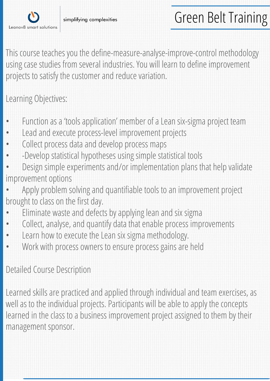

This course teaches you the define-measure-analyse-improve-control methodology using case studies from several industries. You will learn to define improvement projects to satisfy the customer and reduce variation.

## Learning Objectives:

- Function as a 'tools application' member of a Lean six-sigma project team
- Lead and execute process-level improvement projects
- Collect process data and develop process maps
- -Develop statistical hypotheses using simple statistical tools
- Design simple experiments and/or implementation plans that help validate improvement options
- Apply problem solving and quantifiable tools to an improvement project brought to class on the first day.
- Eliminate waste and defects by applying lean and six sigma
- Collect, analyse, and quantify data that enable process improvements
- Learn how to execute the Lean six sigma methodology.
- Work with process owners to ensure process gains are held

## Detailed Course Description

Learned skills are practiced and applied through individual and team exercises, as well as to the individual projects. Participants will be able to apply the concepts learned in the class to a business improvement project assigned to them by their management sponsor.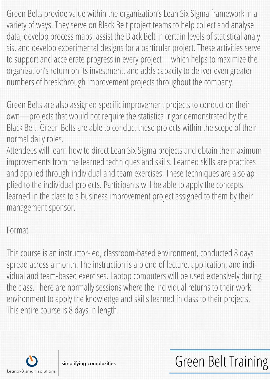Green Belts provide value within the organization's Lean Six Sigma framework in a variety of ways. They serve on Black Belt project teams to help collect and analyse data, develop process maps, assist the Black Belt in certain levels of statistical analysis, and develop experimental designs for a particular project. These activities serve to support and accelerate progress in every project—which helps to maximize the organization's return on its investment, and adds capacity to deliver even greater numbers of breakthrough improvement projects throughout the company.

Green Belts are also assigned specific improvement projects to conduct on their own—projects that would not require the statistical rigor demonstrated by the Black Belt. Green Belts are able to conduct these projects within the scope of their normal daily roles.

Attendees will learn how to direct Lean Six Sigma projects and obtain the maximum improvements from the learned techniques and skills. Learned skills are practices and applied through individual and team exercises. These techniques are also applied to the individual projects. Participants will be able to apply the concepts learned in the class to a business improvement project assigned to them by their management sponsor.

## Format

This course is an instructor-led, classroom-based environment, conducted 8 days spread across a month. The instruction is a blend of lecture, application, and individual and team-based exercises. Laptop computers will be used extensively during the class. There are normally sessions where the individual returns to their work environment to apply the knowledge and skills learned in class to their projects. This entire course is 8 days in length.

Green Belt Training



simplifying complexities